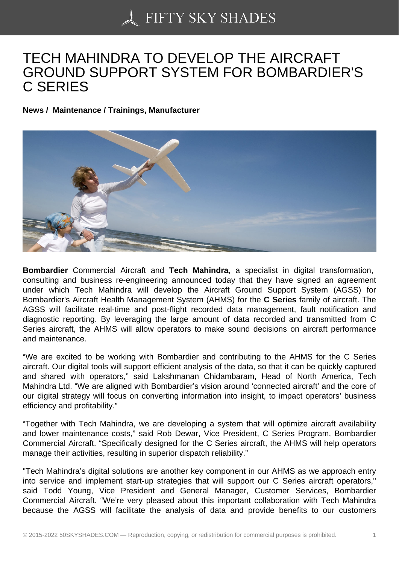## [TECH MAHINDRA TO](https://50skyshades.com) DEVELOP THE AIRCRAFT GROUND SUPPORT SYSTEM FOR BOMBARDIER'S C SERIES

News / Maintenance / Trainings, Manufacturer

Bombardier Commercial Aircraft and Tech Mahindra , a specialist in digital transformation, consulting and business re-engineering announced today that they have signed an agreement under which Tech Mahindra will develop the Aircraft Ground Support System (AGSS) for Bombardier's Aircraft Health Management System (AHMS) for the C Series family of aircraft. The AGSS will facilitate real-time and post-flight recorded data management, fault notification and diagnostic reporting. By leveraging the large amount of data recorded and transmitted from C Series aircraft, the AHMS will allow operators to make sound decisions on aircraft performance and maintenance.

"We are excited to be working with Bombardier and contributing to the AHMS for the C Series aircraft. Our digital tools will support efficient analysis of the data, so that it can be quickly captured and shared with operators," said Lakshmanan Chidambaram, Head of North America, Tech Mahindra Ltd. "We are aligned with Bombardier's vision around 'connected aircraft' and the core of our digital strategy will focus on converting information into insight, to impact operators' business efficiency and profitability."

"Together with Tech Mahindra, we are developing a system that will optimize aircraft availability and lower maintenance costs," said Rob Dewar, Vice President, C Series Program, Bombardier Commercial Aircraft. "Specifically designed for the C Series aircraft, the AHMS will help operators manage their activities, resulting in superior dispatch reliability."

"Tech Mahindra's digital solutions are another key component in our AHMS as we approach entry into service and implement start-up strategies that will support our C Series aircraft operators," said Todd Young, Vice President and General Manager, Customer Services, Bombardier Commercial Aircraft. "We're very pleased about this important collaboration with Tech Mahindra because the AGSS will facilitate the analysis of data and provide benefits to our customers